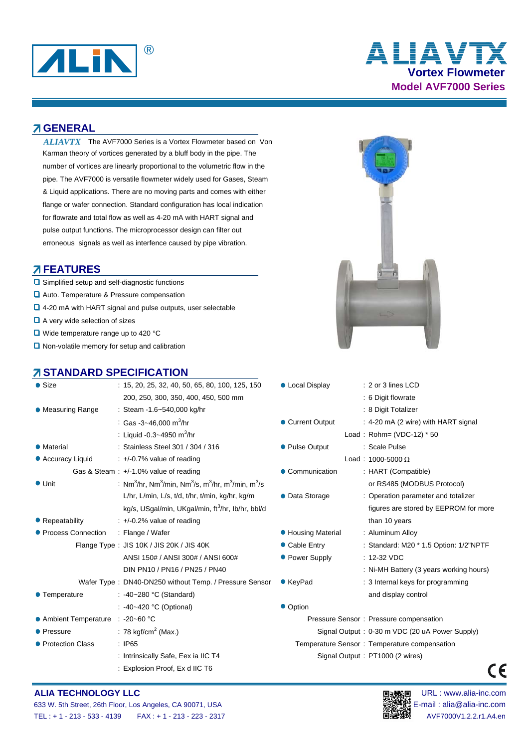

# **Vortex Flowmeter Model AVF7000 Series ALIAVTX**

#### **A GENERAL**

ALIAVTX The AVF7000 Series is a Vortex Flowmeter based on Von Karman theory of vortices generated by a bluff body in the pipe. The number of vortices are linearly proportional to the volumetric flow in the pipe. The AVF7000 is versatile flowmeter widely used for Gases, Steam & Liquid applications. There are no moving parts and comes with either flange or wafer connection. Standard configuration has local indication for flowrate and total flow as well as 4-20 mA with HART signal and pulse output functions. The microprocessor design can filter out erroneous signals as well as interfence caused by pipe vibration.

#### **FEATURES**

- **□** Simplified setup and self-diagnostic functions
- **□** Auto. Temperature & Pressure compensation
- **□** 4-20 mA with HART signal and pulse outputs, user selectable
- A very wide selection of sizes
- Wide temperature range up to 420 °C
- $\Box$  Non-volatile memory for setup and calibration

### *A* **STANDARD SPECIFICATION**



| $\bullet$ Size             | $: 15, 20, 25, 32, 40, 50, 65, 80, 100, 125, 150$                                                                           | • Local Display    | : 2 or 3 lines LCD                             |
|----------------------------|-----------------------------------------------------------------------------------------------------------------------------|--------------------|------------------------------------------------|
|                            | 200, 250, 300, 350, 400, 450, 500 mm                                                                                        |                    | : 6 Digit flowrate                             |
| <b>Measuring Range</b>     | : Steam -1.6~540,000 kg/hr                                                                                                  |                    | : 8 Digit Totalizer                            |
|                            | : Gas -3~46,000 m <sup>3</sup> /hr                                                                                          | • Current Output   | : 4-20 mA (2 wire) with HART signal            |
|                            | : Liquid -0.3~4950 m <sup>3</sup> /hr                                                                                       |                    | Load: Rohm= (VDC-12) * 50                      |
| • Material                 | : Stainless Steel 301 / 304 / 316                                                                                           | • Pulse Output     | : Scale Pulse                                  |
| Accuracy Liquid            | $\div$ +/-0.7% value of reading                                                                                             |                    | Load: $1000 - 5000 \Omega$                     |
|                            | Gas & Steam : $+/-1.0\%$ value of reading                                                                                   | • Communication    | : HART (Compatible)                            |
| $\bullet$ Unit             | : Nm <sup>3</sup> /hr, Nm <sup>3</sup> /min, Nm <sup>3</sup> /s, m <sup>3</sup> /hr, m <sup>3</sup> /min, m <sup>3</sup> /s |                    | or RS485 (MODBUS Protocol)                     |
|                            | L/hr, L/min, L/s, t/d, t/hr, t/min, kg/hr, kg/m                                                                             | • Data Storage     | : Operation parameter and totalizer            |
|                            | kg/s, USgal/min, UKgal/min, ft <sup>3</sup> /hr, lb/hr, bbl/d                                                               |                    | figures are stored by EEPROM for more          |
| Repeatability              | $\div$ +/-0.2% value of reading                                                                                             |                    | than 10 years                                  |
| <b>Process Connection</b>  | : Flange / Wafer                                                                                                            | • Housing Material | : Aluminum Alloy                               |
|                            | Flange Type: JIS 10K / JIS 20K / JIS 40K                                                                                    | • Cable Entry      | : Standard: M20 * 1.5 Option: 1/2"NPTF         |
|                            | ANSI 150# / ANSI 300# / ANSI 600#                                                                                           | • Power Supply     | $: 12-32$ VDC                                  |
|                            | DIN PN10 / PN16 / PN25 / PN40                                                                                               |                    | : Ni-MH Battery (3 years working hours)        |
|                            | Wafer Type: DN40-DN250 without Temp. / Pressure Sensor                                                                      | ● KeyPad           | : 3 Internal keys for programming              |
| <b>Temperature</b>         | : -40~280 °C (Standard)                                                                                                     |                    | and display control                            |
|                            | : -40~420 °C (Optional)                                                                                                     | • Option           |                                                |
| <b>Ambient Temperature</b> | $: -20 - 60 °C$                                                                                                             |                    | Pressure Sensor: Pressure compensation         |
| <b>Pressure</b>            | : 78 kgf/cm <sup>2</sup> (Max.)                                                                                             |                    | Signal Output: 0-30 m VDC (20 uA Power Supply) |
| <b>Protection Class</b>    | $\therefore$ IP65                                                                                                           |                    | Temperature Sensor: Temperature compensation   |
|                            | : Intrinsically Safe, Eex ia IIC T4                                                                                         |                    | Signal Output: PT1000 (2 wires)                |
|                            | : Explosion Proof, Ex d IIC T6                                                                                              |                    |                                                |
|                            |                                                                                                                             |                    |                                                |

### **ALIA TECHNOLOGY LLC Development of the Contract of Technology of Technology and Technology and Technology and Technology and Technology and Technology and Technology and Technology and Technology and Technology and Tec**



 $\epsilon$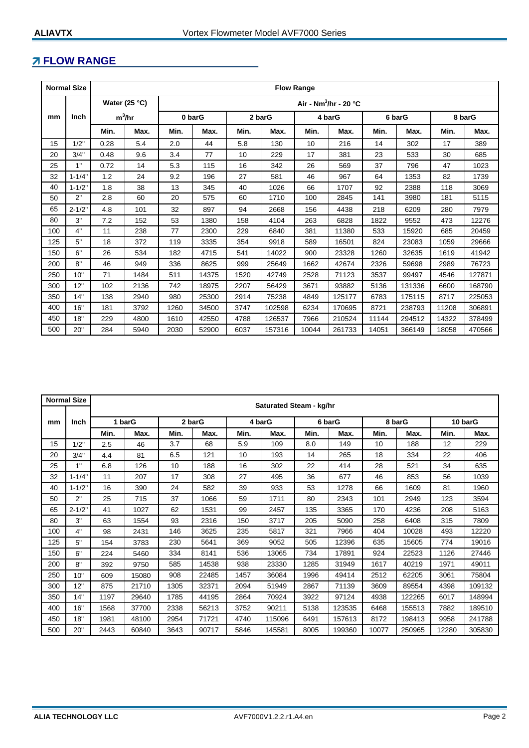# **FLOW RANGE**

|     | <b>Normal Size</b> | <b>Flow Range</b>                                  |      |        |       |        |        |        |        |        |        |        |        |
|-----|--------------------|----------------------------------------------------|------|--------|-------|--------|--------|--------|--------|--------|--------|--------|--------|
|     |                    | Water (25 °C)<br>Air - Nm <sup>3</sup> /hr - 20 °C |      |        |       |        |        |        |        |        |        |        |        |
| mm  | <b>Inch</b>        | $m^3/hr$                                           |      | 0 barG |       | 2 barG |        | 4 barG |        | 6 barG |        | 8 barG |        |
|     |                    | Min.                                               | Max. | Min.   | Max.  | Min.   | Max.   | Min.   | Max.   | Min.   | Max.   | Min.   | Max.   |
| 15  | 1/2"               | 0.28                                               | 5.4  | 2.0    | 44    | 5.8    | 130    | 10     | 216    | 14     | 302    | 17     | 389    |
| 20  | 3/4"               | 0.48                                               | 9.6  | 3.4    | 77    | 10     | 229    | 17     | 381    | 23     | 533    | 30     | 685    |
| 25  | 1"                 | 0.72                                               | 14   | 5.3    | 115   | 16     | 342    | 26     | 569    | 37     | 796    | 47     | 1023   |
| 32  | $1 - 1/4"$         | 1.2                                                | 24   | 9.2    | 196   | 27     | 581    | 46     | 967    | 64     | 1353   | 82     | 1739   |
| 40  | $1 - 1/2"$         | 1.8                                                | 38   | 13     | 345   | 40     | 1026   | 66     | 1707   | 92     | 2388   | 118    | 3069   |
| 50  | 2"                 | 2.8                                                | 60   | 20     | 575   | 60     | 1710   | 100    | 2845   | 141    | 3980   | 181    | 5115   |
| 65  | $2 - 1/2"$         | 4.8                                                | 101  | 32     | 897   | 94     | 2668   | 156    | 4438   | 218    | 6209   | 280    | 7979   |
| 80  | 3"                 | 7.2                                                | 152  | 53     | 1380  | 158    | 4104   | 263    | 6828   | 1822   | 9552   | 473    | 12276  |
| 100 | 4"                 | 11                                                 | 238  | 77     | 2300  | 229    | 6840   | 381    | 11380  | 533    | 15920  | 685    | 20459  |
| 125 | 5"                 | 18                                                 | 372  | 119    | 3335  | 354    | 9918   | 589    | 16501  | 824    | 23083  | 1059   | 29666  |
| 150 | 6"                 | 26                                                 | 534  | 182    | 4715  | 541    | 14022  | 900    | 23328  | 1260   | 32635  | 1619   | 41942  |
| 200 | 8"                 | 46                                                 | 949  | 336    | 8625  | 999    | 25649  | 1662   | 42674  | 2326   | 59698  | 2989   | 76723  |
| 250 | 10"                | 71                                                 | 1484 | 511    | 14375 | 1520   | 42749  | 2528   | 71123  | 3537   | 99497  | 4546   | 127871 |
| 300 | 12"                | 102                                                | 2136 | 742    | 18975 | 2207   | 56429  | 3671   | 93882  | 5136   | 131336 | 6600   | 168790 |
| 350 | 14"                | 138                                                | 2940 | 980    | 25300 | 2914   | 75238  | 4849   | 125177 | 6783   | 175115 | 8717   | 225053 |
| 400 | 16"                | 181                                                | 3792 | 1260   | 34500 | 3747   | 102598 | 6234   | 170695 | 8721   | 238793 | 11208  | 306891 |
| 450 | 18"                | 229                                                | 4800 | 1610   | 42550 | 4788   | 126537 | 7966   | 210524 | 11144  | 294512 | 14322  | 378499 |
| 500 | 20"                | 284                                                | 5940 | 2030   | 52900 | 6037   | 157316 | 10044  | 261733 | 14051  | 366149 | 18058  | 470566 |

|     | <b>Normal Size</b> | Saturated Steam - kg/hr |        |      |        |      |        |      |        |        |        |         |        |
|-----|--------------------|-------------------------|--------|------|--------|------|--------|------|--------|--------|--------|---------|--------|
|     |                    |                         |        |      |        |      |        |      |        |        |        |         |        |
| mm  | <b>Inch</b>        |                         | 1 barG |      | 2 barG |      | 4 barG |      | 6 barG | 8 barG |        | 10 barG |        |
|     |                    | Min.                    | Max.   | Min. | Max.   | Min. | Max.   | Min. | Max.   | Min.   | Max.   | Min.    | Max.   |
| 15  | 1/2"               | 2.5                     | 46     | 3.7  | 68     | 5.9  | 109    | 8.0  | 149    | 10     | 188    | 12      | 229    |
| 20  | 3/4"               | 4.4                     | 81     | 6.5  | 121    | 10   | 193    | 14   | 265    | 18     | 334    | 22      | 406    |
| 25  | 1"                 | 6.8                     | 126    | 10   | 188    | 16   | 302    | 22   | 414    | 28     | 521    | 34      | 635    |
| 32  | $1 - 1/4"$         | 11                      | 207    | 17   | 308    | 27   | 495    | 36   | 677    | 46     | 853    | 56      | 1039   |
| 40  | $1 - 1/2"$         | 16                      | 390    | 24   | 582    | 39   | 933    | 53   | 1278   | 66     | 1609   | 81      | 1960   |
| 50  | 2"                 | 25                      | 715    | 37   | 1066   | 59   | 1711   | 80   | 2343   | 101    | 2949   | 123     | 3594   |
| 65  | $2 - 1/2"$         | 41                      | 1027   | 62   | 1531   | 99   | 2457   | 135  | 3365   | 170    | 4236   | 208     | 5163   |
| 80  | 3"                 | 63                      | 1554   | 93   | 2316   | 150  | 3717   | 205  | 5090   | 258    | 6408   | 315     | 7809   |
| 100 | 4"                 | 98                      | 2431   | 146  | 3625   | 235  | 5817   | 321  | 7966   | 404    | 10028  | 493     | 12220  |
| 125 | 5"                 | 154                     | 3783   | 230  | 5641   | 369  | 9052   | 505  | 12396  | 635    | 15605  | 774     | 19016  |
| 150 | 6"                 | 224                     | 5460   | 334  | 8141   | 536  | 13065  | 734  | 17891  | 924    | 22523  | 1126    | 27446  |
| 200 | 8"                 | 392                     | 9750   | 585  | 14538  | 938  | 23330  | 1285 | 31949  | 1617   | 40219  | 1971    | 49011  |
| 250 | 10"                | 609                     | 15080  | 908  | 22485  | 1457 | 36084  | 1996 | 49414  | 2512   | 62205  | 3061    | 75804  |
| 300 | 12"                | 875                     | 21710  | 1305 | 32371  | 2094 | 51949  | 2867 | 71139  | 3609   | 89554  | 4398    | 109132 |
| 350 | 14"                | 1197                    | 29640  | 1785 | 44195  | 2864 | 70924  | 3922 | 97124  | 4938   | 122265 | 6017    | 148994 |
| 400 | 16"                | 1568                    | 37700  | 2338 | 56213  | 3752 | 90211  | 5138 | 123535 | 6468   | 155513 | 7882    | 189510 |
| 450 | 18"                | 1981                    | 48100  | 2954 | 71721  | 4740 | 115096 | 6491 | 157613 | 8172   | 198413 | 9958    | 241788 |
| 500 | 20"                | 2443                    | 60840  | 3643 | 90717  | 5846 | 145581 | 8005 | 199360 | 10077  | 250965 | 12280   | 305830 |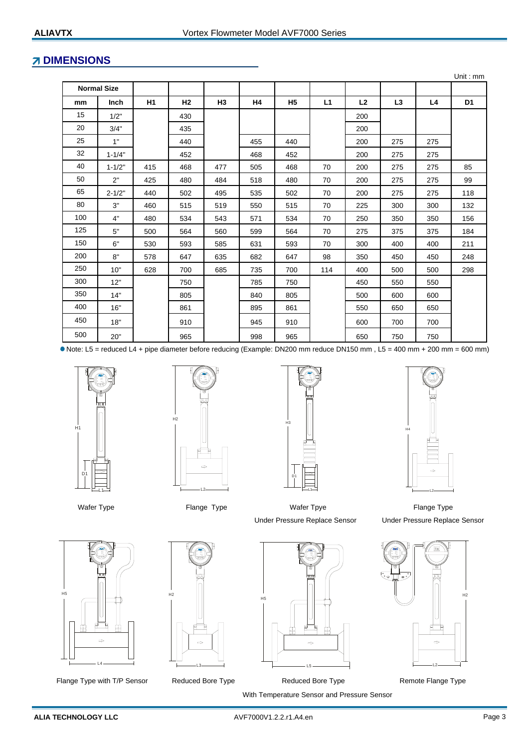## **7 DIMENSIONS**

|     |                    |     |                |     |           |                |     |                |     |     | Unit: $mm$     |
|-----|--------------------|-----|----------------|-----|-----------|----------------|-----|----------------|-----|-----|----------------|
|     | <b>Normal Size</b> |     |                |     |           |                |     |                |     |     |                |
| mm  | <b>Inch</b>        | H1  | H <sub>2</sub> | H3  | <b>H4</b> | H <sub>5</sub> | L1  | L <sub>2</sub> | L3  | L4  | D <sub>1</sub> |
| 15  | 1/2"               |     | 430            |     |           |                |     | 200            |     |     |                |
| 20  | 3/4"               |     | 435            |     |           |                |     | 200            |     |     |                |
| 25  | 1"                 |     | 440            |     | 455       | 440            |     | 200            | 275 | 275 |                |
| 32  | $1 - 1/4"$         |     | 452            |     | 468       | 452            |     | 200            | 275 | 275 |                |
| 40  | $1 - 1/2"$         | 415 | 468            | 477 | 505       | 468            | 70  | 200            | 275 | 275 | 85             |
| 50  | 2"                 | 425 | 480            | 484 | 518       | 480            | 70  | 200            | 275 | 275 | 99             |
| 65  | $2 - 1/2"$         | 440 | 502            | 495 | 535       | 502            | 70  | 200            | 275 | 275 | 118            |
| 80  | 3"                 | 460 | 515            | 519 | 550       | 515            | 70  | 225            | 300 | 300 | 132            |
| 100 | 4"                 | 480 | 534            | 543 | 571       | 534            | 70  | 250            | 350 | 350 | 156            |
| 125 | 5"                 | 500 | 564            | 560 | 599       | 564            | 70  | 275            | 375 | 375 | 184            |
| 150 | 6"                 | 530 | 593            | 585 | 631       | 593            | 70  | 300            | 400 | 400 | 211            |
| 200 | 8"                 | 578 | 647            | 635 | 682       | 647            | 98  | 350            | 450 | 450 | 248            |
| 250 | 10"                | 628 | 700            | 685 | 735       | 700            | 114 | 400            | 500 | 500 | 298            |
| 300 | 12"                |     | 750            |     | 785       | 750            |     | 450            | 550 | 550 |                |
| 350 | 14"                |     | 805            |     | 840       | 805            |     | 500            | 600 | 600 |                |
| 400 | 16"                |     | 861            |     | 895       | 861            |     | 550            | 650 | 650 |                |
| 450 | 18"                |     | 910            |     | 945       | 910            |     | 600            | 700 | 700 |                |
| 500 | 20"                |     | 965            |     | 998       | 965            |     | 650            | 750 | 750 |                |

Note: L5 = reduced L4 + pipe diameter before reducing (Example: DN200 mm reduce DN150 mm , L5 = 400 mm + 200 mm = 600 mm)









Wafer Type **Flange Type Fixer Constructs** Wafer Tpye **Flange Type Flange Type Flange Type** Under Pressure Replace Sensor



Flange Type with T/P Sensor Canadiaced Bore Type Teduced Bore Type Type Remote Flange Type



L3



Under Pressure Replace Sensor

Wafer Tpye

 With Temperature Sensor and Pressure Sensor Reduced Bore Type